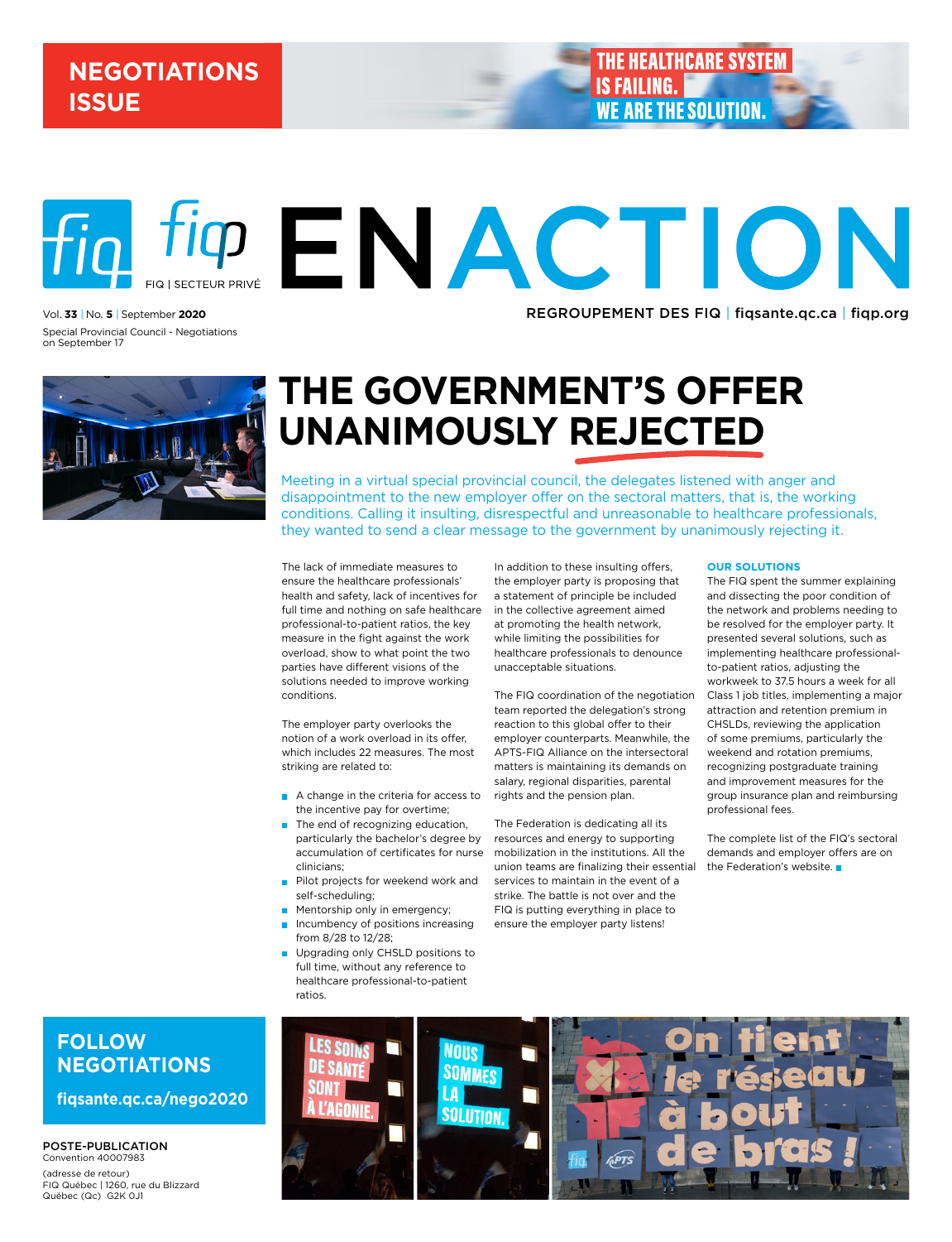## **NEGOTIATIONS ISSUE**

**THE HEALTHCARE SYSTEM IS FAILING. WE ARE THE SOLUTION** 

REGROUPEMENT DES FIQ | [fiqsante.qc.ca](http://fiqsante.qc.ca) | [fiqp.org](http://fiqp.org)

**PENACTION** FIQ | SECTEUR PRIVÉ vol. **33** | no. **5** | september **2020** Special Provincial Council - Negotiations

on September 17



# **The government's offer unanimously rejected**

Meeting in a virtual special provincial council, the delegates listened with anger and disappointment to the new employer offer on the sectoral matters, that is, the working conditions. Calling it insulting, disrespectful and unreasonable to healthcare professionals, they wanted to send a clear message to the government by unanimously rejecting it.

The lack of immediate measures to ensure the healthcare professionals' health and safety, lack of incentives for full time and nothing on safe healthcare professional-to-patient ratios, the key measure in the fight against the work overload, show to what point the two parties have different visions of the solutions needed to improve working conditions.

The employer party overlooks the notion of a work overload in its offer, which includes 22 measures. The most striking are related to:

- A change in the criteria for access to the incentive pay for overtime;
- $\blacksquare$  The end of recognizing education, particularly the bachelor's degree by accumulation of certificates for nurse clinicians;
- Pilot projects for weekend work and self-scheduling;
- Mentorship only in emergency;
- $\blacksquare$  Incumbency of positions increasing from 8/28 to 12/28;
- **Upgrading only CHSLD positions to** full time, without any reference to healthcare professional-to-patient ratios.

In addition to these insulting offers, the employer party is proposing that a statement of principle be included in the collective agreement aimed at promoting the health network, while limiting the possibilities for healthcare professionals to denounce unacceptable situations.

The FIQ coordination of the negotiation team reported the delegation's strong reaction to this global offer to their employer counterparts. Meanwhile, the APTS-FIQ Alliance on the intersectoral matters is maintaining its demands on salary, regional disparities, parental rights and the pension plan.

The Federation is dedicating all its resources and energy to supporting mobilization in the institutions. All the union teams are finalizing their essential services to maintain in the event of a strike. The battle is not over and the FIQ is putting everything in place to ensure the employer party listens!

#### **Our solutions**

The FIQ spent the summer explaining and dissecting the poor condition of the network and problems needing to be resolved for the employer party. It presented several solutions, such as implementing healthcare professionalto-patient ratios, adjusting the workweek to 37.5 hours a week for all Class 1 job titles, implementing a major attraction and retention premium in CHSLDs, reviewing the application of some premiums, particularly the weekend and rotation premiums, recognizing postgraduate training and improvement measures for the group insurance plan and reimbursing professional fees.

The complete list of the FIQ's sectoral demands and employer offers are on the Federation's website.

## **Follow negotiations**

**fiqsante.qc.ca/nego2020**

POSTE-PUBLICATION Convention 40007983 (adresse de retour) FIQ Québec | 1260, rue du Blizzard Québec (Qc) G2K 0J1

## **NOUS SOMMES** LA **SOLUTION** hPTS